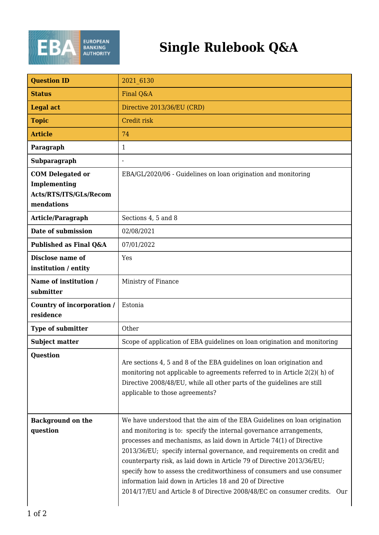

## **Single Rulebook Q&A**

| <b>Question ID</b>                       | 2021 6130                                                                                                                                                                                                                                                                                                                                                                                                                                                                                                                                                                                          |
|------------------------------------------|----------------------------------------------------------------------------------------------------------------------------------------------------------------------------------------------------------------------------------------------------------------------------------------------------------------------------------------------------------------------------------------------------------------------------------------------------------------------------------------------------------------------------------------------------------------------------------------------------|
| <b>Status</b>                            | Final Q&A                                                                                                                                                                                                                                                                                                                                                                                                                                                                                                                                                                                          |
| <b>Legal act</b>                         | Directive 2013/36/EU (CRD)                                                                                                                                                                                                                                                                                                                                                                                                                                                                                                                                                                         |
| <b>Topic</b>                             | Credit risk                                                                                                                                                                                                                                                                                                                                                                                                                                                                                                                                                                                        |
| <b>Article</b>                           | 74                                                                                                                                                                                                                                                                                                                                                                                                                                                                                                                                                                                                 |
| Paragraph                                | 1                                                                                                                                                                                                                                                                                                                                                                                                                                                                                                                                                                                                  |
| Subparagraph                             | $\overline{a}$                                                                                                                                                                                                                                                                                                                                                                                                                                                                                                                                                                                     |
| <b>COM Delegated or</b><br>Implementing  | EBA/GL/2020/06 - Guidelines on loan origination and monitoring                                                                                                                                                                                                                                                                                                                                                                                                                                                                                                                                     |
| Acts/RTS/ITS/GLs/Recom<br>mendations     |                                                                                                                                                                                                                                                                                                                                                                                                                                                                                                                                                                                                    |
| Article/Paragraph                        | Sections 4, 5 and 8                                                                                                                                                                                                                                                                                                                                                                                                                                                                                                                                                                                |
| Date of submission                       | 02/08/2021                                                                                                                                                                                                                                                                                                                                                                                                                                                                                                                                                                                         |
| Published as Final Q&A                   | 07/01/2022                                                                                                                                                                                                                                                                                                                                                                                                                                                                                                                                                                                         |
| Disclose name of<br>institution / entity | Yes                                                                                                                                                                                                                                                                                                                                                                                                                                                                                                                                                                                                |
| Name of institution /<br>submitter       | Ministry of Finance                                                                                                                                                                                                                                                                                                                                                                                                                                                                                                                                                                                |
| Country of incorporation /<br>residence  | Estonia                                                                                                                                                                                                                                                                                                                                                                                                                                                                                                                                                                                            |
| Type of submitter                        | Other                                                                                                                                                                                                                                                                                                                                                                                                                                                                                                                                                                                              |
| <b>Subject matter</b>                    | Scope of application of EBA guidelines on loan origination and monitoring                                                                                                                                                                                                                                                                                                                                                                                                                                                                                                                          |
| <b>Question</b>                          | Are sections 4, 5 and 8 of the EBA guidelines on loan origination and<br>monitoring not applicable to agreements referred to in Article 2(2)(h) of<br>Directive 2008/48/EU, while all other parts of the guidelines are still<br>applicable to those agreements?                                                                                                                                                                                                                                                                                                                                   |
| <b>Background on the</b><br>question     | We have understood that the aim of the EBA Guidelines on loan origination<br>and monitoring is to: specify the internal governance arrangements,<br>processes and mechanisms, as laid down in Article 74(1) of Directive<br>2013/36/EU; specify internal governance, and requirements on credit and<br>counterparty risk, as laid down in Article 79 of Directive 2013/36/EU;<br>specify how to assess the creditworthiness of consumers and use consumer<br>information laid down in Articles 18 and 20 of Directive<br>2014/17/EU and Article 8 of Directive 2008/48/EC on consumer credits. Our |